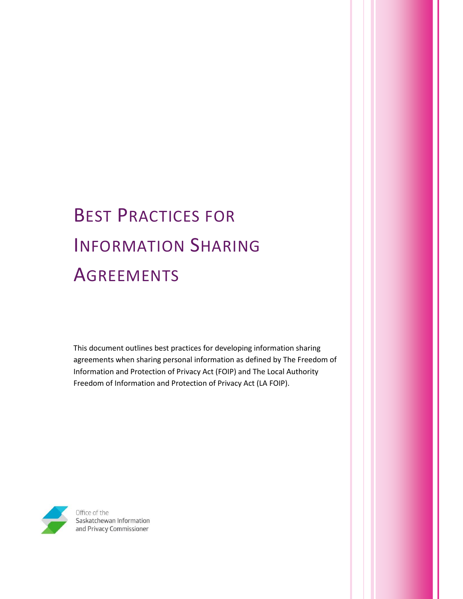# BEST PRACTICES FOR INFORMATION SHARING **AGREEMENTS**

This document outlines best practices for developing information sharing agreements when sharing personal information as defined by The Freedom of Information and Protection of Privacy Act (FOIP) and The Local Authority Freedom of Information and Protection of Privacy Act (LA FOIP).



Saskatchewan Information and Privacy Commissioner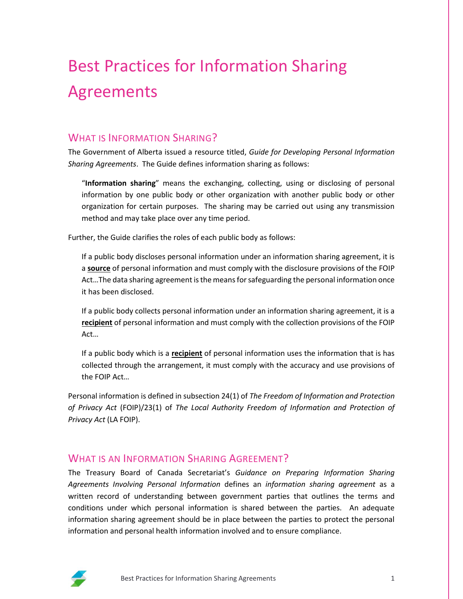## Best Practices for Information Sharing Agreements

## WHAT IS INFORMATION SHARING?

The Government of Alberta issued a resource titled, *Guide for Developing Personal Information Sharing Agreements*. The Guide defines information sharing as follows:

"**Information sharing**" means the exchanging, collecting, using or disclosing of personal information by one public body or other organization with another public body or other organization for certain purposes. The sharing may be carried out using any transmission method and may take place over any time period.

Further, the Guide clarifies the roles of each public body as follows:

If a public body discloses personal information under an information sharing agreement, it is a **source** of personal information and must comply with the disclosure provisions of the FOIP Act…The data sharing agreement is the means for safeguarding the personal information once it has been disclosed.

If a public body collects personal information under an information sharing agreement, it is a **recipient** of personal information and must comply with the collection provisions of the FOIP Act…

If a public body which is a **recipient** of personal information uses the information that is has collected through the arrangement, it must comply with the accuracy and use provisions of the FOIP Act…

Personal information is defined in subsection 24(1) of *The Freedom of Information and Protection of Privacy Act* (FOIP)/23(1) of *The Local Authority Freedom of Information and Protection of Privacy Act* (LA FOIP).

## WHAT IS AN INFORMATION SHARING AGREEMENT?

The Treasury Board of Canada Secretariat's *Guidance on Preparing Information Sharing Agreements Involving Personal Information* defines an *information sharing agreement* as a written record of understanding between government parties that outlines the terms and conditions under which personal information is shared between the parties. An adequate information sharing agreement should be in place between the parties to protect the personal information and personal health information involved and to ensure compliance.

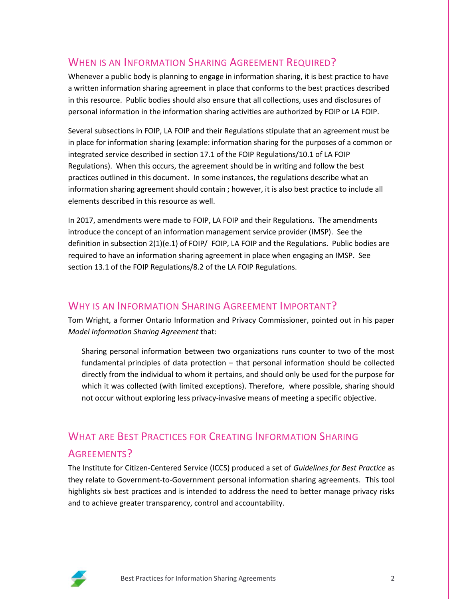## WHEN IS AN INFORMATION SHARING AGREEMENT REQUIRED?

Whenever a public body is planning to engage in information sharing, it is best practice to have a written information sharing agreement in place that conforms to the best practices described in this resource. Public bodies should also ensure that all collections, uses and disclosures of personal information in the information sharing activities are authorized by FOIP or LA FOIP.

Several subsections in FOIP, LA FOIP and their Regulations stipulate that an agreement must be in place for information sharing (example: information sharing for the purposes of a common or integrated service described in section 17.1 of the FOIP Regulations/10.1 of LA FOIP Regulations). When this occurs, the agreement should be in writing and follow the best practices outlined in this document. In some instances, the regulations describe what an information sharing agreement should contain ; however, it is also best practice to include all elements described in this resource as well.

In 2017, amendments were made to FOIP, LA FOIP and their Regulations. The amendments introduce the concept of an information management service provider (IMSP). See the definition in subsection 2(1)(e.1) of FOIP/ FOIP, LA FOIP and the Regulations. Public bodies are required to have an information sharing agreement in place when engaging an IMSP. See section 13.1 of the FOIP Regulations/8.2 of the LA FOIP Regulations.

## WHY IS AN INFORMATION SHARING AGREEMENT IMPORTANT?

Tom Wright, a former Ontario Information and Privacy Commissioner, pointed out in his paper *Model Information Sharing Agreement* that:

Sharing personal information between two organizations runs counter to two of the most fundamental principles of data protection – that personal information should be collected directly from the individual to whom it pertains, and should only be used for the purpose for which it was collected (with limited exceptions). Therefore, where possible, sharing should not occur without exploring less privacy-invasive means of meeting a specific objective.

## WHAT ARE BEST PRACTICES FOR CREATING INFORMATION SHARING AGREEMENTS?

The Institute for Citizen-Centered Service (ICCS) produced a set of *Guidelines for Best Practice* as they relate to Government-to-Government personal information sharing agreements. This tool highlights six best practices and is intended to address the need to better manage privacy risks and to achieve greater transparency, control and accountability.

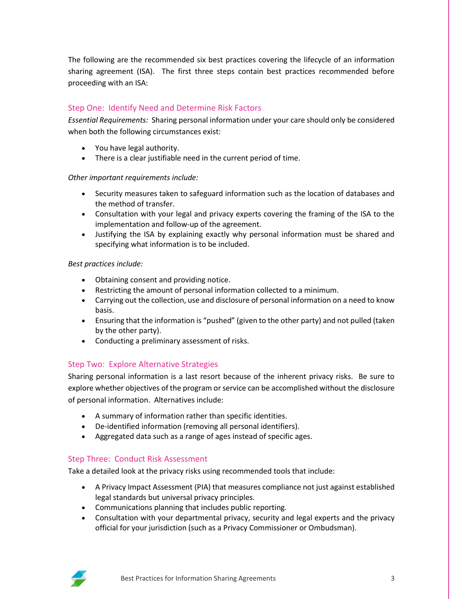The following are the recommended six best practices covering the lifecycle of an information sharing agreement (ISA). The first three steps contain best practices recommended before proceeding with an ISA:

#### Step One: Identify Need and Determine Risk Factors

*Essential Requirements:* Sharing personal information under your care should only be considered when both the following circumstances exist:

- You have legal authority.
- There is a clear justifiable need in the current period of time.

#### *Other important requirements include:*

- Security measures taken to safeguard information such as the location of databases and the method of transfer.
- Consultation with your legal and privacy experts covering the framing of the ISA to the implementation and follow-up of the agreement.
- Justifying the ISA by explaining exactly why personal information must be shared and specifying what information is to be included.

#### *Best practices include:*

- Obtaining consent and providing notice.
- Restricting the amount of personal information collected to a minimum.
- Carrying out the collection, use and disclosure of personal information on a need to know basis.
- Ensuring that the information is "pushed" (given to the other party) and not pulled (taken by the other party).
- Conducting a preliminary assessment of risks.

#### Step Two: Explore Alternative Strategies

Sharing personal information is a last resort because of the inherent privacy risks. Be sure to explore whether objectives of the program or service can be accomplished without the disclosure of personal information. Alternatives include:

- A summary of information rather than specific identities.
- De-identified information (removing all personal identifiers).
- Aggregated data such as a range of ages instead of specific ages.

#### Step Three: Conduct Risk Assessment

Take a detailed look at the privacy risks using recommended tools that include:

- A Privacy Impact Assessment (PIA) that measures compliance not just against established legal standards but universal privacy principles.
- Communications planning that includes public reporting.
- Consultation with your departmental privacy, security and legal experts and the privacy official for your jurisdiction (such as a Privacy Commissioner or Ombudsman).

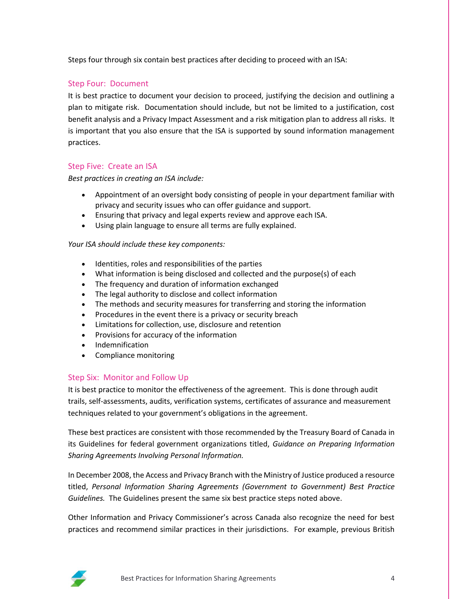Steps four through six contain best practices after deciding to proceed with an ISA:

#### Step Four: Document

It is best practice to document your decision to proceed, justifying the decision and outlining a plan to mitigate risk. Documentation should include, but not be limited to a justification, cost benefit analysis and a Privacy Impact Assessment and a risk mitigation plan to address all risks. It is important that you also ensure that the ISA is supported by sound information management practices.

#### Step Five: Create an ISA

#### *Best practices in creating an ISA include:*

- Appointment of an oversight body consisting of people in your department familiar with privacy and security issues who can offer guidance and support.
- Ensuring that privacy and legal experts review and approve each ISA.
- Using plain language to ensure all terms are fully explained.

#### *Your ISA should include these key components:*

- Identities, roles and responsibilities of the parties
- What information is being disclosed and collected and the purpose(s) of each
- The frequency and duration of information exchanged
- The legal authority to disclose and collect information
- The methods and security measures for transferring and storing the information
- Procedures in the event there is a privacy or security breach
- Limitations for collection, use, disclosure and retention
- Provisions for accuracy of the information
- Indemnification
- Compliance monitoring

#### Step Six: Monitor and Follow Up

It is best practice to monitor the effectiveness of the agreement. This is done through audit trails, self-assessments, audits, verification systems, certificates of assurance and measurement techniques related to your government's obligations in the agreement.

These best practices are consistent with those recommended by the Treasury Board of Canada in its Guidelines for federal government organizations titled, *Guidance on Preparing Information Sharing Agreements Involving Personal Information.*

In December 2008, the Access and Privacy Branch with the Ministry of Justice produced a resource titled, *Personal Information Sharing Agreements (Government to Government) Best Practice Guidelines.* The Guidelines present the same six best practice steps noted above.

Other Information and Privacy Commissioner's across Canada also recognize the need for best practices and recommend similar practices in their jurisdictions. For example, previous British

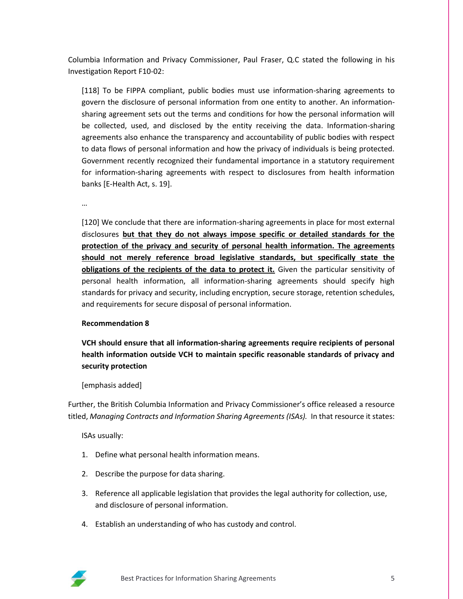Columbia Information and Privacy Commissioner, Paul Fraser, Q.C stated the following in his Investigation Report F10-02:

[118] To be FIPPA compliant, public bodies must use information-sharing agreements to govern the disclosure of personal information from one entity to another. An informationsharing agreement sets out the terms and conditions for how the personal information will be collected, used, and disclosed by the entity receiving the data. Information-sharing agreements also enhance the transparency and accountability of public bodies with respect to data flows of personal information and how the privacy of individuals is being protected. Government recently recognized their fundamental importance in a statutory requirement for information-sharing agreements with respect to disclosures from health information banks [E-Health Act, s. 19].

…

[120] We conclude that there are information-sharing agreements in place for most external disclosures **but that they do not always impose specific or detailed standards for the protection of the privacy and security of personal health information. The agreements should not merely reference broad legislative standards, but specifically state the obligations of the recipients of the data to protect it.** Given the particular sensitivity of personal health information, all information-sharing agreements should specify high standards for privacy and security, including encryption, secure storage, retention schedules, and requirements for secure disposal of personal information.

#### **Recommendation 8**

**VCH should ensure that all information-sharing agreements require recipients of personal health information outside VCH to maintain specific reasonable standards of privacy and security protection**

#### [emphasis added]

Further, the British Columbia Information and Privacy Commissioner's office released a resource titled, *Managing Contracts and Information Sharing Agreements (ISAs).* In that resource it states:

ISAs usually:

- 1. Define what personal health information means.
- 2. Describe the purpose for data sharing.
- 3. Reference all applicable legislation that provides the legal authority for collection, use, and disclosure of personal information.
- 4. Establish an understanding of who has custody and control.